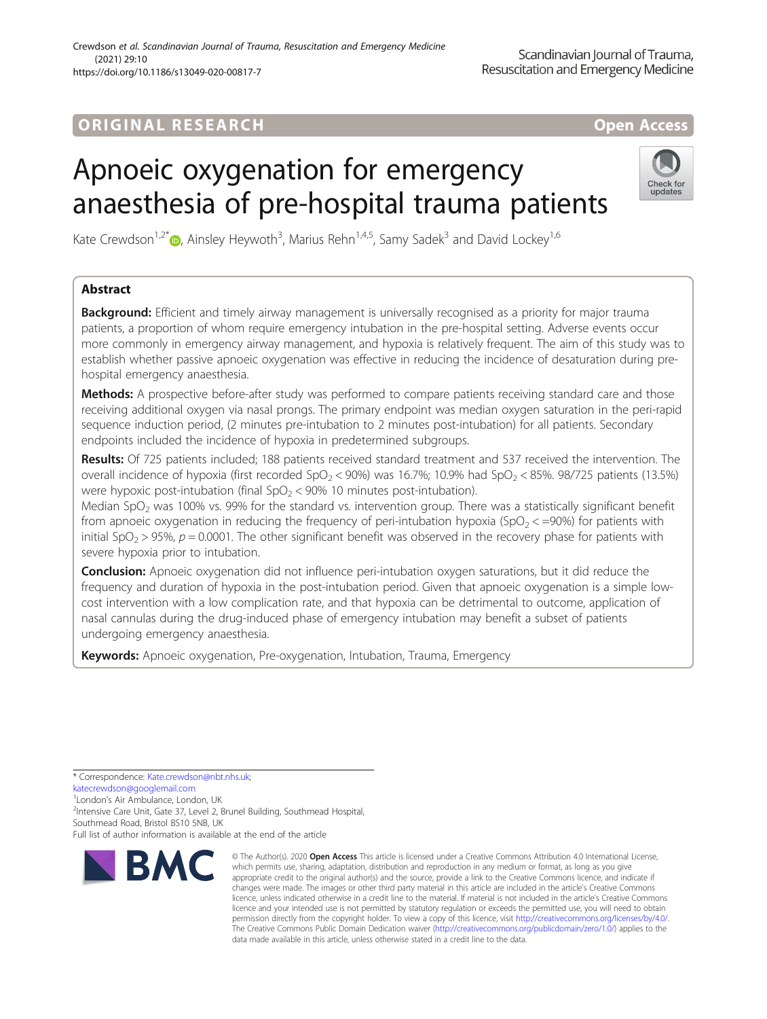## ORIGINA L R E S EA RCH Open Access

# Apnoeic oxygenation for emergency anaesthesia of pre-hospital trauma patients



Kate Crewdson<sup>1,2\*</sup> <sub>(D</sub>, Ainsley Heywoth<sup>3</sup>, Marius Rehn<sup>1,4,5</sup>, Samy Sadek<sup>3</sup> and David Lockey<sup>1,6</sup>

### Abstract

**Background:** Efficient and timely airway management is universally recognised as a priority for major trauma patients, a proportion of whom require emergency intubation in the pre-hospital setting. Adverse events occur more commonly in emergency airway management, and hypoxia is relatively frequent. The aim of this study was to establish whether passive apnoeic oxygenation was effective in reducing the incidence of desaturation during prehospital emergency anaesthesia.

Methods: A prospective before-after study was performed to compare patients receiving standard care and those receiving additional oxygen via nasal prongs. The primary endpoint was median oxygen saturation in the peri-rapid sequence induction period, (2 minutes pre-intubation to 2 minutes post-intubation) for all patients. Secondary endpoints included the incidence of hypoxia in predetermined subgroups.

Results: Of 725 patients included; 188 patients received standard treatment and 537 received the intervention. The overall incidence of hypoxia (first recorded SpO<sub>2</sub> < 90%) was 16.7%; 10.9% had SpO<sub>2</sub> < 85%. 98/725 patients (13.5%) were hypoxic post-intubation (final  $SpO<sub>2</sub> < 90%$  10 minutes post-intubation).

Median SpO<sub>2</sub> was 100% vs. 99% for the standard vs. intervention group. There was a statistically significant benefit from apnoeic oxygenation in reducing the frequency of peri-intubation hypoxia (SpO<sub>2</sub> < =90%) for patients with initial SpO<sub>2</sub> > 95%,  $p = 0.0001$ . The other significant benefit was observed in the recovery phase for patients with severe hypoxia prior to intubation.

**Conclusion:** Apnoeic oxygenation did not influence peri-intubation oxygen saturations, but it did reduce the frequency and duration of hypoxia in the post-intubation period. Given that apnoeic oxygenation is a simple lowcost intervention with a low complication rate, and that hypoxia can be detrimental to outcome, application of nasal cannulas during the drug-induced phase of emergency intubation may benefit a subset of patients undergoing emergency anaesthesia.

Keywords: Apnoeic oxygenation, Pre-oxygenation, Intubation, Trauma, Emergency

\* Correspondence: [Kate.crewdson@nbt.nhs.uk;](mailto:Kate.crewdson@nbt.nhs.uk)

[katecrewdson@googlemail.com](mailto:katecrewdson@googlemail.com)

<sup>1</sup> London's Air Ambulance, London, UK<br><sup>2</sup> Intensive Care Unit Gate 37, Lovel 2.1 <sup>2</sup>Intensive Care Unit, Gate 37, Level 2, Brunel Building, Southmead Hospital, Southmead Road, Bristol BS10 5NB, UK Full list of author information is available at the end of the article



<sup>©</sup> The Author(s), 2020 **Open Access** This article is licensed under a Creative Commons Attribution 4.0 International License, which permits use, sharing, adaptation, distribution and reproduction in any medium or format, as long as you give appropriate credit to the original author(s) and the source, provide a link to the Creative Commons licence, and indicate if changes were made. The images or other third party material in this article are included in the article's Creative Commons licence, unless indicated otherwise in a credit line to the material. If material is not included in the article's Creative Commons licence and your intended use is not permitted by statutory regulation or exceeds the permitted use, you will need to obtain permission directly from the copyright holder. To view a copy of this licence, visit [http://creativecommons.org/licenses/by/4.0/.](http://creativecommons.org/licenses/by/4.0/) The Creative Commons Public Domain Dedication waiver [\(http://creativecommons.org/publicdomain/zero/1.0/](http://creativecommons.org/publicdomain/zero/1.0/)) applies to the data made available in this article, unless otherwise stated in a credit line to the data.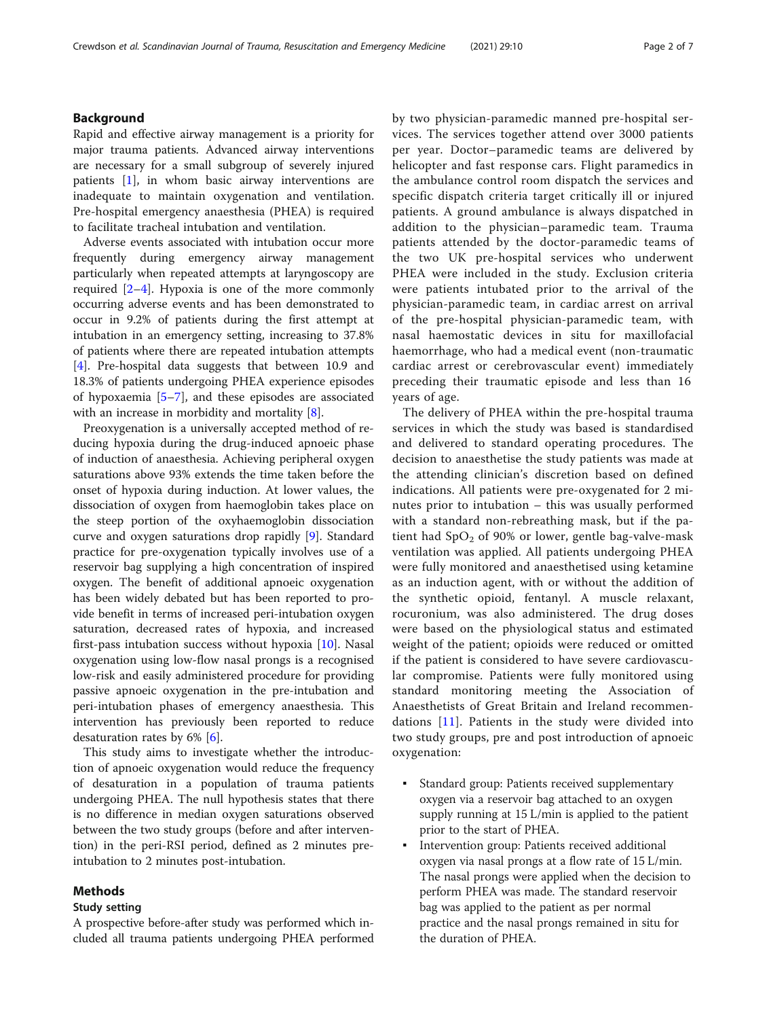#### Background

Rapid and effective airway management is a priority for major trauma patients. Advanced airway interventions are necessary for a small subgroup of severely injured patients [\[1\]](#page-5-0), in whom basic airway interventions are inadequate to maintain oxygenation and ventilation. Pre-hospital emergency anaesthesia (PHEA) is required to facilitate tracheal intubation and ventilation.

Adverse events associated with intubation occur more frequently during emergency airway management particularly when repeated attempts at laryngoscopy are required [[2](#page-5-0)–[4](#page-5-0)]. Hypoxia is one of the more commonly occurring adverse events and has been demonstrated to occur in 9.2% of patients during the first attempt at intubation in an emergency setting, increasing to 37.8% of patients where there are repeated intubation attempts [[4\]](#page-5-0). Pre-hospital data suggests that between 10.9 and 18.3% of patients undergoing PHEA experience episodes of hypoxaemia [[5](#page-5-0)–[7\]](#page-5-0), and these episodes are associated with an increase in morbidity and mortality [\[8](#page-5-0)].

Preoxygenation is a universally accepted method of reducing hypoxia during the drug-induced apnoeic phase of induction of anaesthesia. Achieving peripheral oxygen saturations above 93% extends the time taken before the onset of hypoxia during induction. At lower values, the dissociation of oxygen from haemoglobin takes place on the steep portion of the oxyhaemoglobin dissociation curve and oxygen saturations drop rapidly [\[9](#page-5-0)]. Standard practice for pre-oxygenation typically involves use of a reservoir bag supplying a high concentration of inspired oxygen. The benefit of additional apnoeic oxygenation has been widely debated but has been reported to provide benefit in terms of increased peri-intubation oxygen saturation, decreased rates of hypoxia, and increased first-pass intubation success without hypoxia [\[10](#page-5-0)]. Nasal oxygenation using low-flow nasal prongs is a recognised low-risk and easily administered procedure for providing passive apnoeic oxygenation in the pre-intubation and peri-intubation phases of emergency anaesthesia. This intervention has previously been reported to reduce desaturation rates by 6% [[6\]](#page-5-0).

This study aims to investigate whether the introduction of apnoeic oxygenation would reduce the frequency of desaturation in a population of trauma patients undergoing PHEA. The null hypothesis states that there is no difference in median oxygen saturations observed between the two study groups (before and after intervention) in the peri-RSI period, defined as 2 minutes preintubation to 2 minutes post-intubation.

#### Methods

#### Study setting

A prospective before-after study was performed which included all trauma patients undergoing PHEA performed by two physician-paramedic manned pre-hospital services. The services together attend over 3000 patients per year. Doctor–paramedic teams are delivered by helicopter and fast response cars. Flight paramedics in the ambulance control room dispatch the services and specific dispatch criteria target critically ill or injured patients. A ground ambulance is always dispatched in addition to the physician–paramedic team. Trauma patients attended by the doctor-paramedic teams of the two UK pre-hospital services who underwent PHEA were included in the study. Exclusion criteria were patients intubated prior to the arrival of the physician-paramedic team, in cardiac arrest on arrival of the pre-hospital physician-paramedic team, with nasal haemostatic devices in situ for maxillofacial haemorrhage, who had a medical event (non-traumatic cardiac arrest or cerebrovascular event) immediately preceding their traumatic episode and less than 16 years of age.

The delivery of PHEA within the pre-hospital trauma services in which the study was based is standardised and delivered to standard operating procedures. The decision to anaesthetise the study patients was made at the attending clinician's discretion based on defined indications. All patients were pre-oxygenated for 2 minutes prior to intubation – this was usually performed with a standard non-rebreathing mask, but if the patient had  $SpO<sub>2</sub>$  of 90% or lower, gentle bag-valve-mask ventilation was applied. All patients undergoing PHEA were fully monitored and anaesthetised using ketamine as an induction agent, with or without the addition of the synthetic opioid, fentanyl. A muscle relaxant, rocuronium, was also administered. The drug doses were based on the physiological status and estimated weight of the patient; opioids were reduced or omitted if the patient is considered to have severe cardiovascular compromise. Patients were fully monitored using standard monitoring meeting the Association of Anaesthetists of Great Britain and Ireland recommendations [[11\]](#page-5-0). Patients in the study were divided into two study groups, pre and post introduction of apnoeic oxygenation:

- Standard group: Patients received supplementary oxygen via a reservoir bag attached to an oxygen supply running at 15 L/min is applied to the patient prior to the start of PHEA.
- Intervention group: Patients received additional oxygen via nasal prongs at a flow rate of 15 L/min. The nasal prongs were applied when the decision to perform PHEA was made. The standard reservoir bag was applied to the patient as per normal practice and the nasal prongs remained in situ for the duration of PHEA.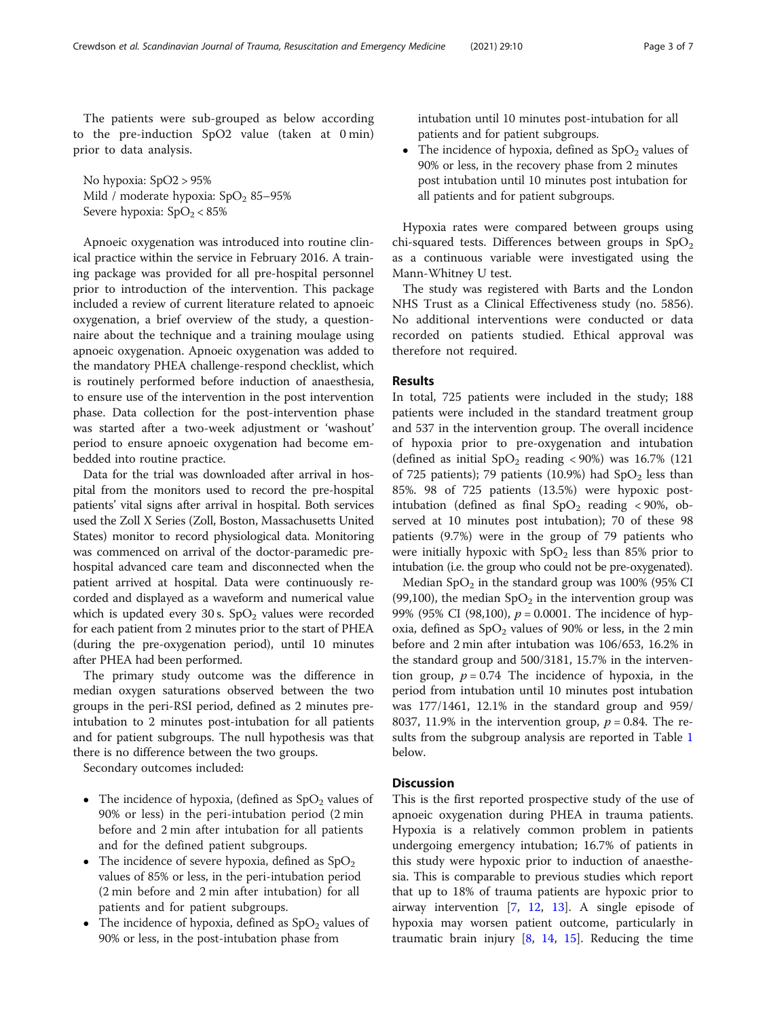The patients were sub-grouped as below according to the pre-induction SpO2 value (taken at 0 min) prior to data analysis.

No hypoxia: SpO2 > 95% Mild / moderate hypoxia:  $SpO<sub>2</sub> 85-95%$ Severe hypoxia:  $SpO<sub>2</sub> < 85%$ 

Apnoeic oxygenation was introduced into routine clinical practice within the service in February 2016. A training package was provided for all pre-hospital personnel prior to introduction of the intervention. This package included a review of current literature related to apnoeic oxygenation, a brief overview of the study, a questionnaire about the technique and a training moulage using apnoeic oxygenation. Apnoeic oxygenation was added to the mandatory PHEA challenge-respond checklist, which is routinely performed before induction of anaesthesia, to ensure use of the intervention in the post intervention phase. Data collection for the post-intervention phase was started after a two-week adjustment or 'washout' period to ensure apnoeic oxygenation had become embedded into routine practice.

Data for the trial was downloaded after arrival in hospital from the monitors used to record the pre-hospital patients' vital signs after arrival in hospital. Both services used the Zoll X Series (Zoll, Boston, Massachusetts United States) monitor to record physiological data. Monitoring was commenced on arrival of the doctor-paramedic prehospital advanced care team and disconnected when the patient arrived at hospital. Data were continuously recorded and displayed as a waveform and numerical value which is updated every 30 s.  $SpO<sub>2</sub>$  values were recorded for each patient from 2 minutes prior to the start of PHEA (during the pre-oxygenation period), until 10 minutes after PHEA had been performed.

The primary study outcome was the difference in median oxygen saturations observed between the two groups in the peri-RSI period, defined as 2 minutes preintubation to 2 minutes post-intubation for all patients and for patient subgroups. The null hypothesis was that there is no difference between the two groups.

Secondary outcomes included:

- The incidence of hypoxia, (defined as  $SpO<sub>2</sub>$  values of 90% or less) in the peri-intubation period (2 min before and 2 min after intubation for all patients and for the defined patient subgroups.
- The incidence of severe hypoxia, defined as  $SpO<sub>2</sub>$ values of 85% or less, in the peri-intubation period (2 min before and 2 min after intubation) for all patients and for patient subgroups.
- The incidence of hypoxia, defined as  $SpO<sub>2</sub>$  values of 90% or less, in the post-intubation phase from

intubation until 10 minutes post-intubation for all patients and for patient subgroups.

• The incidence of hypoxia, defined as  $SpO<sub>2</sub>$  values of 90% or less, in the recovery phase from 2 minutes post intubation until 10 minutes post intubation for all patients and for patient subgroups.

Hypoxia rates were compared between groups using chi-squared tests. Differences between groups in  $SpO<sub>2</sub>$ as a continuous variable were investigated using the Mann-Whitney U test.

The study was registered with Barts and the London NHS Trust as a Clinical Effectiveness study (no. 5856). No additional interventions were conducted or data recorded on patients studied. Ethical approval was therefore not required.

#### Results

In total, 725 patients were included in the study; 188 patients were included in the standard treatment group and 537 in the intervention group. The overall incidence of hypoxia prior to pre-oxygenation and intubation (defined as initial  $SpO<sub>2</sub>$  reading < 90%) was 16.7% (121) of 725 patients); 79 patients (10.9%) had  $SpO<sub>2</sub>$  less than 85%. 98 of 725 patients (13.5%) were hypoxic postintubation (defined as final  $SpO<sub>2</sub>$  reading < 90%, observed at 10 minutes post intubation); 70 of these 98 patients (9.7%) were in the group of 79 patients who were initially hypoxic with  $SpO<sub>2</sub>$  less than 85% prior to intubation (i.e. the group who could not be pre-oxygenated).

Median  $SpO<sub>2</sub>$  in the standard group was 100% (95% CI (99,100), the median  $SpO<sub>2</sub>$  in the intervention group was 99% (95% CI (98,100),  $p = 0.0001$ . The incidence of hypoxia, defined as  $SpO<sub>2</sub>$  values of 90% or less, in the 2 min before and 2 min after intubation was 106/653, 16.2% in the standard group and 500/3181, 15.7% in the intervention group,  $p = 0.74$  The incidence of hypoxia, in the period from intubation until 10 minutes post intubation was 177/1461, 12.1% in the standard group and 959/ 8037, 11.9% in the intervention group,  $p = 0.84$ . The re-sults from the subgroup analysis are reported in Table [1](#page-3-0) below.

#### **Discussion**

This is the first reported prospective study of the use of apnoeic oxygenation during PHEA in trauma patients. Hypoxia is a relatively common problem in patients undergoing emergency intubation; 16.7% of patients in this study were hypoxic prior to induction of anaesthesia. This is comparable to previous studies which report that up to 18% of trauma patients are hypoxic prior to airway intervention [[7,](#page-5-0) [12](#page-5-0), [13\]](#page-5-0). A single episode of hypoxia may worsen patient outcome, particularly in traumatic brain injury  $[8, 14, 15]$  $[8, 14, 15]$  $[8, 14, 15]$  $[8, 14, 15]$  $[8, 14, 15]$ . Reducing the time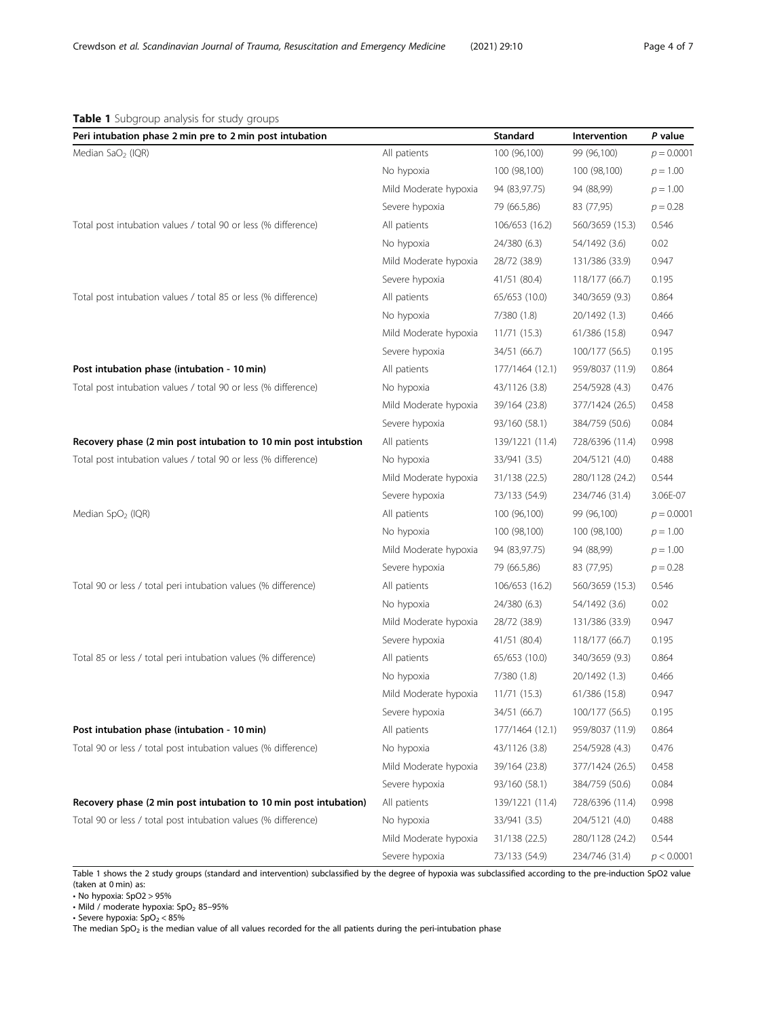#### <span id="page-3-0"></span>Table 1 Subgroup analysis for study groups

| Peri intubation phase 2 min pre to 2 min post intubation         |                       | Standard        | Intervention    | P value      |
|------------------------------------------------------------------|-----------------------|-----------------|-----------------|--------------|
| Median SaO <sub>2</sub> (IQR)                                    | All patients          | 100 (96,100)    | 99 (96,100)     | $p = 0.0001$ |
|                                                                  | No hypoxia            | 100 (98,100)    | 100 (98,100)    | $p = 1.00$   |
|                                                                  | Mild Moderate hypoxia | 94 (83,97.75)   | 94 (88,99)      | $p = 1.00$   |
|                                                                  | Severe hypoxia        | 79 (66.5,86)    | 83 (77,95)      | $p = 0.28$   |
| Total post intubation values / total 90 or less (% difference)   | All patients          | 106/653 (16.2)  | 560/3659 (15.3) | 0.546        |
|                                                                  | No hypoxia            | 24/380 (6.3)    | 54/1492 (3.6)   | 0.02         |
|                                                                  | Mild Moderate hypoxia | 28/72 (38.9)    | 131/386 (33.9)  | 0.947        |
|                                                                  | Severe hypoxia        | 41/51 (80.4)    | 118/177 (66.7)  | 0.195        |
| Total post intubation values / total 85 or less (% difference)   | All patients          | 65/653 (10.0)   | 340/3659 (9.3)  | 0.864        |
|                                                                  | No hypoxia            | 7/380 (1.8)     | 20/1492 (1.3)   | 0.466        |
|                                                                  | Mild Moderate hypoxia | 11/71(15.3)     | 61/386 (15.8)   | 0.947        |
|                                                                  | Severe hypoxia        | 34/51 (66.7)    | 100/177 (56.5)  | 0.195        |
| Post intubation phase (intubation - 10 min)                      | All patients          | 177/1464 (12.1) | 959/8037 (11.9) | 0.864        |
| Total post intubation values / total 90 or less (% difference)   | No hypoxia            | 43/1126 (3.8)   | 254/5928 (4.3)  | 0.476        |
|                                                                  | Mild Moderate hypoxia | 39/164 (23.8)   | 377/1424 (26.5) | 0.458        |
|                                                                  | Severe hypoxia        | 93/160 (58.1)   | 384/759 (50.6)  | 0.084        |
| Recovery phase (2 min post intubation to 10 min post intubstion  | All patients          | 139/1221 (11.4) | 728/6396 (11.4) | 0.998        |
| Total post intubation values / total 90 or less (% difference)   | No hypoxia            | 33/941 (3.5)    | 204/5121 (4.0)  | 0.488        |
|                                                                  | Mild Moderate hypoxia | 31/138 (22.5)   | 280/1128 (24.2) | 0.544        |
|                                                                  | Severe hypoxia        | 73/133 (54.9)   | 234/746 (31.4)  | 3.06E-07     |
| Median $SpO2$ (IQR)                                              | All patients          | 100 (96,100)    | 99 (96,100)     | $p = 0.0001$ |
|                                                                  | No hypoxia            | 100 (98,100)    | 100 (98,100)    | $p = 1.00$   |
|                                                                  | Mild Moderate hypoxia | 94 (83,97.75)   | 94 (88,99)      | $p = 1.00$   |
|                                                                  | Severe hypoxia        | 79 (66.5,86)    | 83 (77,95)      | $p = 0.28$   |
| Total 90 or less / total peri intubation values (% difference)   | All patients          | 106/653 (16.2)  | 560/3659 (15.3) | 0.546        |
|                                                                  | No hypoxia            | 24/380 (6.3)    | 54/1492 (3.6)   | 0.02         |
|                                                                  | Mild Moderate hypoxia | 28/72 (38.9)    | 131/386 (33.9)  | 0.947        |
|                                                                  | Severe hypoxia        | 41/51 (80.4)    | 118/177 (66.7)  | 0.195        |
| Total 85 or less / total peri intubation values (% difference)   | All patients          | 65/653 (10.0)   | 340/3659 (9.3)  | 0.864        |
|                                                                  | No hypoxia            | 7/380 (1.8)     | 20/1492 (1.3)   | 0.466        |
|                                                                  | Mild Moderate hypoxia | 11/71(15.3)     | 61/386 (15.8)   | 0.947        |
|                                                                  | Severe hypoxia        | 34/51 (66.7)    | 100/177 (56.5)  | 0.195        |
| Post intubation phase (intubation - 10 min)                      | All patients          | 177/1464 (12.1) | 959/8037 (11.9) | 0.864        |
| Total 90 or less / total post intubation values (% difference)   | No hypoxia            | 43/1126 (3.8)   | 254/5928 (4.3)  | 0.476        |
|                                                                  | Mild Moderate hypoxia | 39/164 (23.8)   | 377/1424 (26.5) | 0.458        |
|                                                                  | Severe hypoxia        | 93/160 (58.1)   | 384/759 (50.6)  | 0.084        |
| Recovery phase (2 min post intubation to 10 min post intubation) | All patients          | 139/1221 (11.4) | 728/6396 (11.4) | 0.998        |
| Total 90 or less / total post intubation values (% difference)   | No hypoxia            | 33/941 (3.5)    | 204/5121 (4.0)  | 0.488        |
|                                                                  | Mild Moderate hypoxia | 31/138 (22.5)   | 280/1128 (24.2) | 0.544        |
|                                                                  | Severe hypoxia        | 73/133 (54.9)   | 234/746 (31.4)  | p < 0.0001   |

Table 1 shows the 2 study groups (standard and intervention) subclassified by the degree of hypoxia was subclassified according to the pre-induction SpO2 value (taken at 0 min) as:

• No hypoxia: SpO2 > 95%

 $\cdot$  Mild / moderate hypoxia: SpO<sub>2</sub> 85-95%

• Severe hypoxia:  $SpO<sub>2</sub> < 85%$ 

The median  $SpO<sub>2</sub>$  is the median value of all values recorded for the all patients during the peri-intubation phase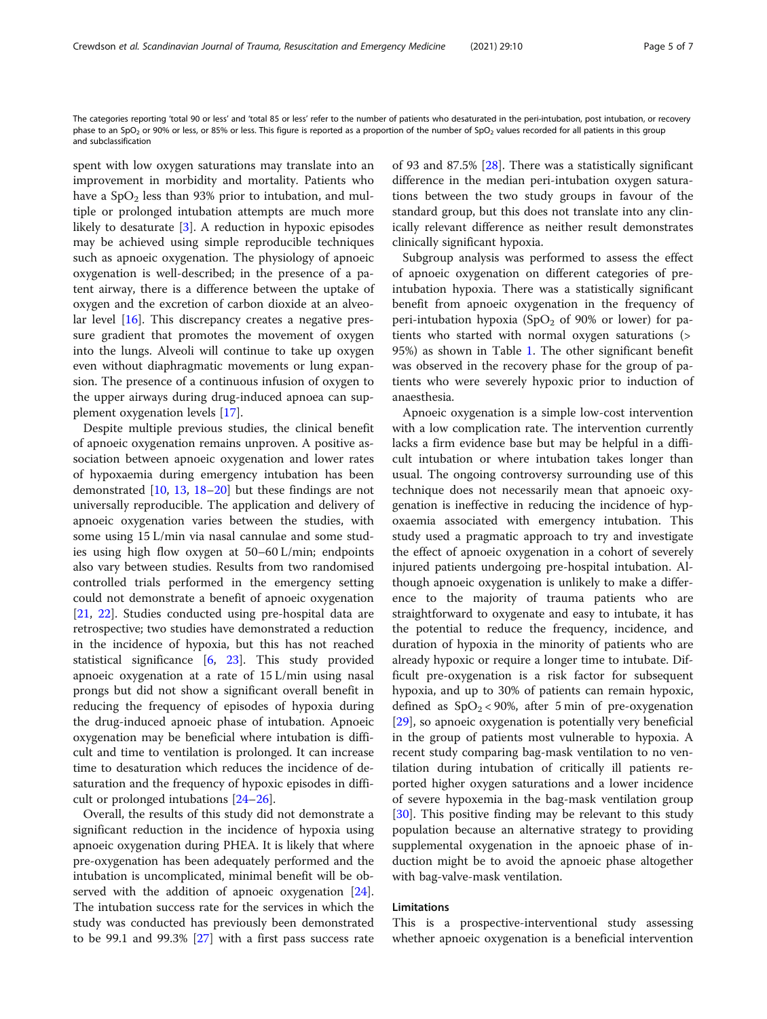The categories reporting 'total 90 or less' and 'total 85 or less' refer to the number of patients who desaturated in the peri-intubation, post intubation, or recovery phase to an SpO<sub>2</sub> or 90% or less, or 85% or less. This figure is reported as a proportion of the number of SpO<sub>2</sub> values recorded for all patients in this group and subclassification

spent with low oxygen saturations may translate into an improvement in morbidity and mortality. Patients who have a  $SpO<sub>2</sub>$  less than 93% prior to intubation, and multiple or prolonged intubation attempts are much more likely to desaturate [\[3](#page-5-0)]. A reduction in hypoxic episodes may be achieved using simple reproducible techniques such as apnoeic oxygenation. The physiology of apnoeic oxygenation is well-described; in the presence of a patent airway, there is a difference between the uptake of oxygen and the excretion of carbon dioxide at an alveolar level [\[16](#page-6-0)]. This discrepancy creates a negative pressure gradient that promotes the movement of oxygen into the lungs. Alveoli will continue to take up oxygen even without diaphragmatic movements or lung expansion. The presence of a continuous infusion of oxygen to the upper airways during drug-induced apnoea can supplement oxygenation levels [[17\]](#page-6-0).

Despite multiple previous studies, the clinical benefit of apnoeic oxygenation remains unproven. A positive association between apnoeic oxygenation and lower rates of hypoxaemia during emergency intubation has been demonstrated [[10](#page-5-0), [13,](#page-5-0) [18](#page-6-0)–[20](#page-6-0)] but these findings are not universally reproducible. The application and delivery of apnoeic oxygenation varies between the studies, with some using 15 L/min via nasal cannulae and some studies using high flow oxygen at 50–60 L/min; endpoints also vary between studies. Results from two randomised controlled trials performed in the emergency setting could not demonstrate a benefit of apnoeic oxygenation [[21,](#page-6-0) [22](#page-6-0)]. Studies conducted using pre-hospital data are retrospective; two studies have demonstrated a reduction in the incidence of hypoxia, but this has not reached statistical significance [[6,](#page-5-0) [23\]](#page-6-0). This study provided apnoeic oxygenation at a rate of 15 L/min using nasal prongs but did not show a significant overall benefit in reducing the frequency of episodes of hypoxia during the drug-induced apnoeic phase of intubation. Apnoeic oxygenation may be beneficial where intubation is difficult and time to ventilation is prolonged. It can increase time to desaturation which reduces the incidence of desaturation and the frequency of hypoxic episodes in difficult or prolonged intubations [\[24](#page-6-0)–[26\]](#page-6-0).

Overall, the results of this study did not demonstrate a significant reduction in the incidence of hypoxia using apnoeic oxygenation during PHEA. It is likely that where pre-oxygenation has been adequately performed and the intubation is uncomplicated, minimal benefit will be observed with the addition of apnoeic oxygenation [\[24](#page-6-0)]. The intubation success rate for the services in which the study was conducted has previously been demonstrated to be 99.1 and 99.3% [[27\]](#page-6-0) with a first pass success rate of 93 and 87.5% [\[28\]](#page-6-0). There was a statistically significant difference in the median peri-intubation oxygen saturations between the two study groups in favour of the standard group, but this does not translate into any clinically relevant difference as neither result demonstrates clinically significant hypoxia.

Subgroup analysis was performed to assess the effect of apnoeic oxygenation on different categories of preintubation hypoxia. There was a statistically significant benefit from apnoeic oxygenation in the frequency of peri-intubation hypoxia (SpO<sub>2</sub> of 90% or lower) for patients who started with normal oxygen saturations (> 95%) as shown in Table [1.](#page-3-0) The other significant benefit was observed in the recovery phase for the group of patients who were severely hypoxic prior to induction of anaesthesia.

Apnoeic oxygenation is a simple low-cost intervention with a low complication rate. The intervention currently lacks a firm evidence base but may be helpful in a difficult intubation or where intubation takes longer than usual. The ongoing controversy surrounding use of this technique does not necessarily mean that apnoeic oxygenation is ineffective in reducing the incidence of hypoxaemia associated with emergency intubation. This study used a pragmatic approach to try and investigate the effect of apnoeic oxygenation in a cohort of severely injured patients undergoing pre-hospital intubation. Although apnoeic oxygenation is unlikely to make a difference to the majority of trauma patients who are straightforward to oxygenate and easy to intubate, it has the potential to reduce the frequency, incidence, and duration of hypoxia in the minority of patients who are already hypoxic or require a longer time to intubate. Difficult pre-oxygenation is a risk factor for subsequent hypoxia, and up to 30% of patients can remain hypoxic, defined as  $SpO<sub>2</sub> < 90%$ , after 5 min of pre-oxygenation [[29\]](#page-6-0), so apnoeic oxygenation is potentially very beneficial in the group of patients most vulnerable to hypoxia. A recent study comparing bag-mask ventilation to no ventilation during intubation of critically ill patients reported higher oxygen saturations and a lower incidence of severe hypoxemia in the bag-mask ventilation group [[30\]](#page-6-0). This positive finding may be relevant to this study population because an alternative strategy to providing supplemental oxygenation in the apnoeic phase of induction might be to avoid the apnoeic phase altogether with bag-valve-mask ventilation.

#### Limitations

This is a prospective-interventional study assessing whether apnoeic oxygenation is a beneficial intervention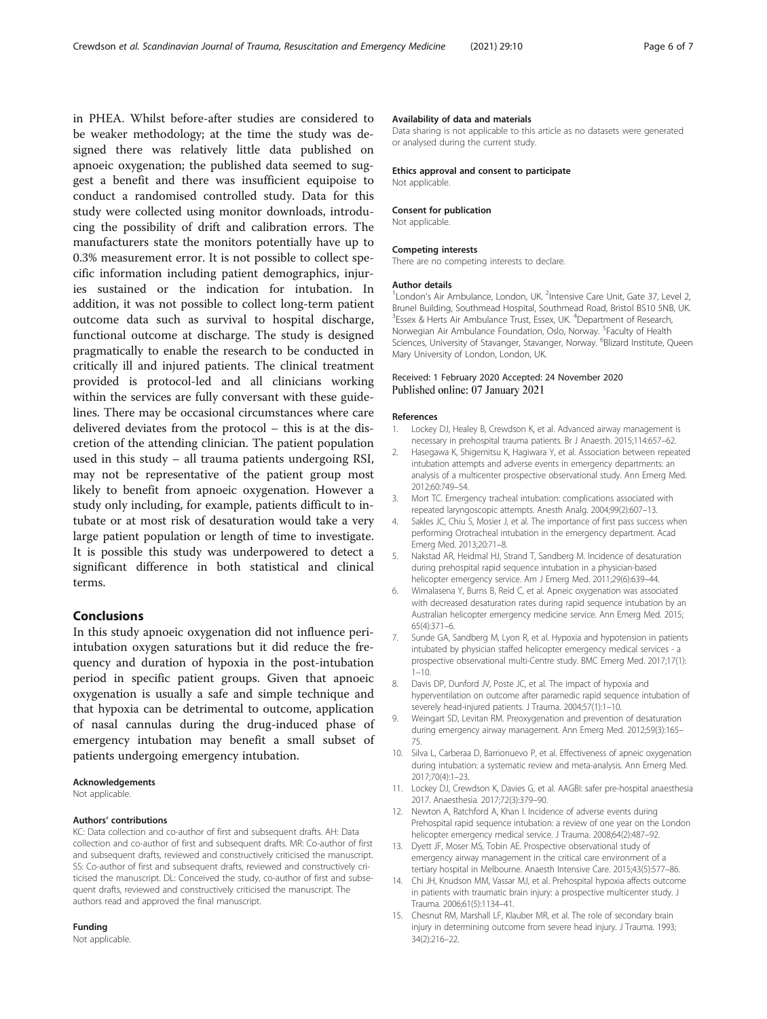<span id="page-5-0"></span>in PHEA. Whilst before-after studies are considered to be weaker methodology; at the time the study was designed there was relatively little data published on apnoeic oxygenation; the published data seemed to suggest a benefit and there was insufficient equipoise to conduct a randomised controlled study. Data for this study were collected using monitor downloads, introducing the possibility of drift and calibration errors. The manufacturers state the monitors potentially have up to 0.3% measurement error. It is not possible to collect specific information including patient demographics, injuries sustained or the indication for intubation. In addition, it was not possible to collect long-term patient outcome data such as survival to hospital discharge, functional outcome at discharge. The study is designed pragmatically to enable the research to be conducted in critically ill and injured patients. The clinical treatment provided is protocol-led and all clinicians working within the services are fully conversant with these guidelines. There may be occasional circumstances where care delivered deviates from the protocol – this is at the discretion of the attending clinician. The patient population used in this study – all trauma patients undergoing RSI, may not be representative of the patient group most likely to benefit from apnoeic oxygenation. However a study only including, for example, patients difficult to intubate or at most risk of desaturation would take a very large patient population or length of time to investigate. It is possible this study was underpowered to detect a significant difference in both statistical and clinical terms.

#### Conclusions

In this study apnoeic oxygenation did not influence periintubation oxygen saturations but it did reduce the frequency and duration of hypoxia in the post-intubation period in specific patient groups. Given that apnoeic oxygenation is usually a safe and simple technique and that hypoxia can be detrimental to outcome, application of nasal cannulas during the drug-induced phase of emergency intubation may benefit a small subset of patients undergoing emergency intubation.

#### Acknowledgements

Not applicable.

#### Authors' contributions

KC: Data collection and co-author of first and subsequent drafts. AH: Data collection and co-author of first and subsequent drafts. MR: Co-author of first and subsequent drafts, reviewed and constructively criticised the manuscript. SS: Co-author of first and subsequent drafts, reviewed and constructively criticised the manuscript. DL: Conceived the study, co-author of first and subsequent drafts, reviewed and constructively criticised the manuscript. The authors read and approved the final manuscript.

#### Funding

Not applicable.

#### Availability of data and materials

Data sharing is not applicable to this article as no datasets were generated or analysed during the current study.

#### Ethics approval and consent to participate Not applicable.

#### Consent for publication

Not applicable.

#### Competing interests

There are no competing interests to declare.

#### Author details

<sup>1</sup> London's Air Ambulance, London, UK. <sup>2</sup>Intensive Care Unit, Gate 37, Level 2, Brunel Building, Southmead Hospital, Southmead Road, Bristol BS10 5NB, UK. <sup>3</sup>Essex & Herts Air Ambulance Trust, Essex, UK. <sup>4</sup>Department of Research, Norwegian Air Ambulance Foundation, Oslo, Norway. <sup>5</sup>Faculty of Health Sciences, University of Stavanger, Stavanger, Norway. <sup>6</sup>Blizard Institute, Queen Mary University of London, London, UK.

#### Received: 1 February 2020 Accepted: 24 November 2020 Published online: 07 January 2021

#### References

- 1. Lockey DJ, Healey B, Crewdson K, et al. Advanced airway management is necessary in prehospital trauma patients. Br J Anaesth. 2015;114:657–62.
- 2. Hasegawa K, Shigemitsu K, Hagiwara Y, et al. Association between repeated intubation attempts and adverse events in emergency departments: an analysis of a multicenter prospective observational study. Ann Emerg Med. 2012;60:749–54.
- 3. Mort TC. Emergency tracheal intubation: complications associated with repeated laryngoscopic attempts. Anesth Analg. 2004;99(2):607–13.
- 4. Sakles JC, Chiu S, Mosier J, et al. The importance of first pass success when performing Orotracheal intubation in the emergency department. Acad Emerg Med. 2013;20:71–8.
- 5. Nakstad AR, Heidmal HJ, Strand T, Sandberg M. Incidence of desaturation during prehospital rapid sequence intubation in a physician-based helicopter emergency service. Am J Emerg Med. 2011;29(6):639–44.
- 6. Wimalasena Y, Burns B, Reid C, et al. Apneic oxygenation was associated with decreased desaturation rates during rapid sequence intubation by an Australian helicopter emergency medicine service. Ann Emerg Med. 2015; 65(4):371–6.
- 7. Sunde GA, Sandberg M, Lyon R, et al. Hypoxia and hypotension in patients intubated by physician staffed helicopter emergency medical services - a prospective observational multi-Centre study. BMC Emerg Med. 2017;17(1):  $1 - 10$
- 8. Davis DP, Dunford JV, Poste JC, et al. The impact of hypoxia and hyperventilation on outcome after paramedic rapid sequence intubation of severely head-injured patients. J Trauma. 2004;57(1):1–10.
- 9. Weingart SD, Levitan RM. Preoxygenation and prevention of desaturation during emergency airway management. Ann Emerg Med. 2012;59(3):165– 75.
- 10. Silva L, Carberaa D, Barrionuevo P, et al. Effectiveness of apneic oxygenation during intubation: a systematic review and meta-analysis. Ann Emerg Med. 2017;70(4):1–23.
- 11. Lockey DJ, Crewdson K, Davies G, et al. AAGBI: safer pre-hospital anaesthesia 2017. Anaesthesia. 2017;72(3):379–90.
- 12. Newton A, Ratchford A, Khan I. Incidence of adverse events during Prehospital rapid sequence intubation: a review of one year on the London helicopter emergency medical service. J Trauma. 2008;64(2):487–92.
- 13. Dyett JF, Moser MS, Tobin AE. Prospective observational study of emergency airway management in the critical care environment of a tertiary hospital in Melbourne. Anaesth Intensive Care. 2015;43(5):577–86.
- 14. Chi JH, Knudson MM, Vassar MJ, et al. Prehospital hypoxia affects outcome in patients with traumatic brain injury: a prospective multicenter study. J Trauma. 2006;61(5):1134–41.
- 15. Chesnut RM, Marshall LF, Klauber MR, et al. The role of secondary brain injury in determining outcome from severe head injury. J Trauma. 1993; 34(2):216–22.